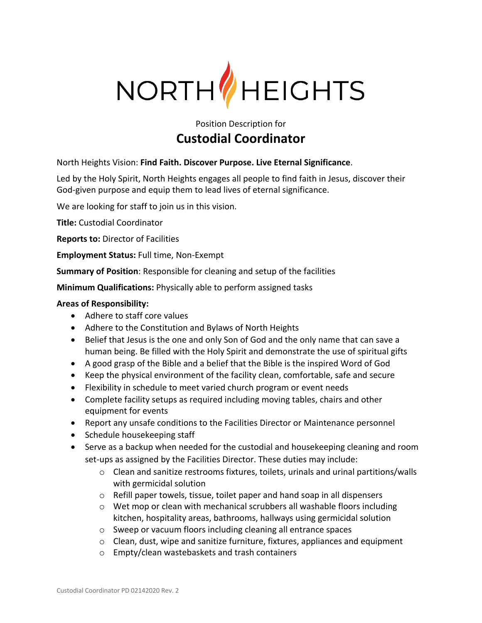

Position Description for

# **Custodial Coordinator**

North Heights Vision: **Find Faith. Discover Purpose. Live Eternal Significance**.

Led by the Holy Spirit, North Heights engages all people to find faith in Jesus, discover their God-given purpose and equip them to lead lives of eternal significance.

We are looking for staff to join us in this vision.

**Title:** Custodial Coordinator

**Reports to:** Director of Facilities

**Employment Status:** Full time, Non-Exempt

**Summary of Position**: Responsible for cleaning and setup of the facilities

**Minimum Qualifications:** Physically able to perform assigned tasks

### **Areas of Responsibility:**

- Adhere to staff core values
- Adhere to the Constitution and Bylaws of North Heights
- Belief that Jesus is the one and only Son of God and the only name that can save a human being. Be filled with the Holy Spirit and demonstrate the use of spiritual gifts
- A good grasp of the Bible and a belief that the Bible is the inspired Word of God
- Keep the physical environment of the facility clean, comfortable, safe and secure
- Flexibility in schedule to meet varied church program or event needs
- Complete facility setups as required including moving tables, chairs and other equipment for events
- Report any unsafe conditions to the Facilities Director or Maintenance personnel
- Schedule housekeeping staff
- Serve as a backup when needed for the custodial and housekeeping cleaning and room set-ups as assigned by the Facilities Director. These duties may include:
	- $\circ$  Clean and sanitize restrooms fixtures, toilets, urinals and urinal partitions/walls with germicidal solution
	- o Refill paper towels, tissue, toilet paper and hand soap in all dispensers
	- $\circ$  Wet mop or clean with mechanical scrubbers all washable floors including kitchen, hospitality areas, bathrooms, hallways using germicidal solution
	- o Sweep or vacuum floors including cleaning all entrance spaces
	- o Clean, dust, wipe and sanitize furniture, fixtures, appliances and equipment
	- o Empty/clean wastebaskets and trash containers